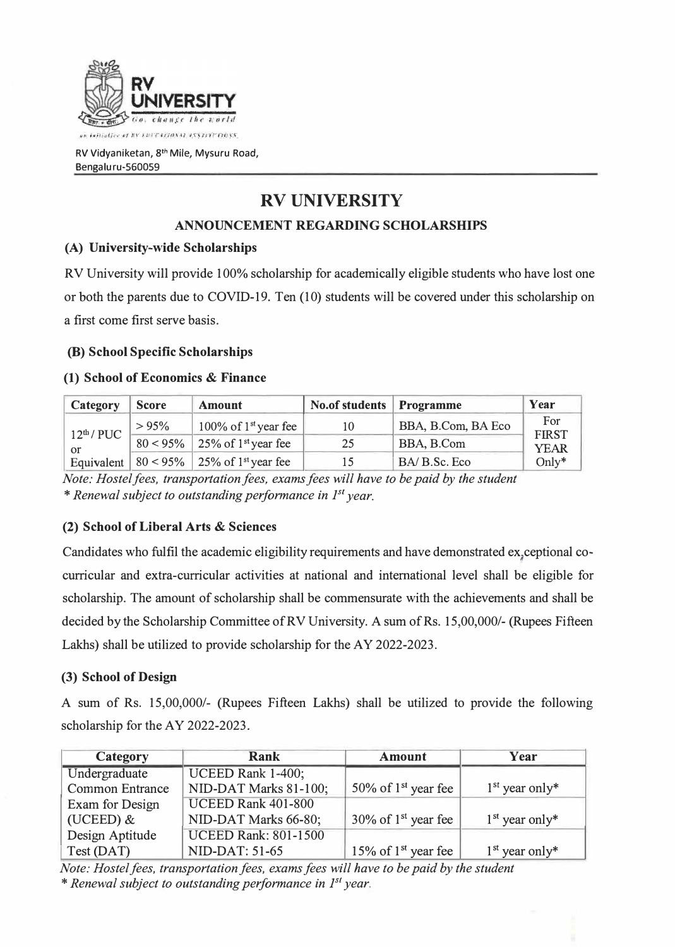

RV Vidyaniketan, 8<sup>th</sup> Mile, Mysuru Road, Bengaluru-560059

# **RV UNIVERSITY**

# **ANNOUNCEMENT REGARDING SCHOLARSHIPS**

# **(A) University-wide Scholarships**

RV University will provide 100% scholarship for academically eligible students who have lost one or both the parents due to COVID-19. Ten (10) students will be covered under this scholarship on a first come first serve basis.

### **(B) School Specific Scholarships**

### **(1) School of Economics & Finance**

| Category | <b>Score</b> | <b>Amount</b>                                                         | <b>No.of students Programme</b> |                    | Year                               |  |
|----------|--------------|-----------------------------------------------------------------------|---------------------------------|--------------------|------------------------------------|--|
|          | >95%         | 100% of $1st$ year fee                                                |                                 | BBA, B.Com, BA Eco | For<br><b>FIRST</b><br><b>YEAR</b> |  |
|          |              | $12^{th}$ / PUC $\frac{30}{80}$ < 95% 25% of 1 <sup>st</sup> year fee | 25                              | BBA, B.Com         |                                    |  |
|          |              | Equivalent   $80 < 95\%$   25% of 1 <sup>st</sup> year fee            |                                 | BA/ B.Sc. Eco      | Only $*$                           |  |

*Note: Hostel fees, transportation fees, exams fees will have to be paid by the student*  \* Renewal subject to outstanding performance in 1<sup>st</sup> year.

# **(2) School of Liberal Arts & Sciences**

Candidates who fulfil the academic eligibility requirements and have demonstrated ex, ceptional cocurricular and extra-curricular activities at national and international level shall be eligible for scholarship. The amount of scholarship shall be commensurate with the achievements and shall be decided by the Scholarship Committee of RV University. A sum of Rs. 15,00,000/-(Rupees Fifteen Lakhs) shall be utilized to provide scholarship for the AY 2022-2023.

# **(3) School of Design**

A sum of Rs. 15,00,000/- (Rupees Fifteen Lakhs) shall be utilized to provide the following scholarship for the AY 2022-2023.

| Category               | Rank                        | Amount                             | Year             |
|------------------------|-----------------------------|------------------------------------|------------------|
| Undergraduate          | UCEED Rank 1-400;           |                                    |                  |
| <b>Common Entrance</b> | NID-DAT Marks 81-100;       | 50% of $1st$ year fee              | $1st$ year only* |
| Exam for Design        | UCEED Rank 401-800          |                                    |                  |
| (UCEED) $&$            | NID-DAT Marks 66-80;        | $30\%$ of 1 <sup>st</sup> year fee | $1st$ year only* |
| Design Aptitude        | <b>UCEED Rank: 801-1500</b> |                                    |                  |
| Test (DAT)             | NID-DAT: 51-65              | 15% of 1 <sup>st</sup> year fee    | $1st$ year only* |

*Note: Hostel fees, transportation fees, exams fees will have to be paid by the student*  \* Renewal subject to outstanding performance in 1<sup>st</sup> year.